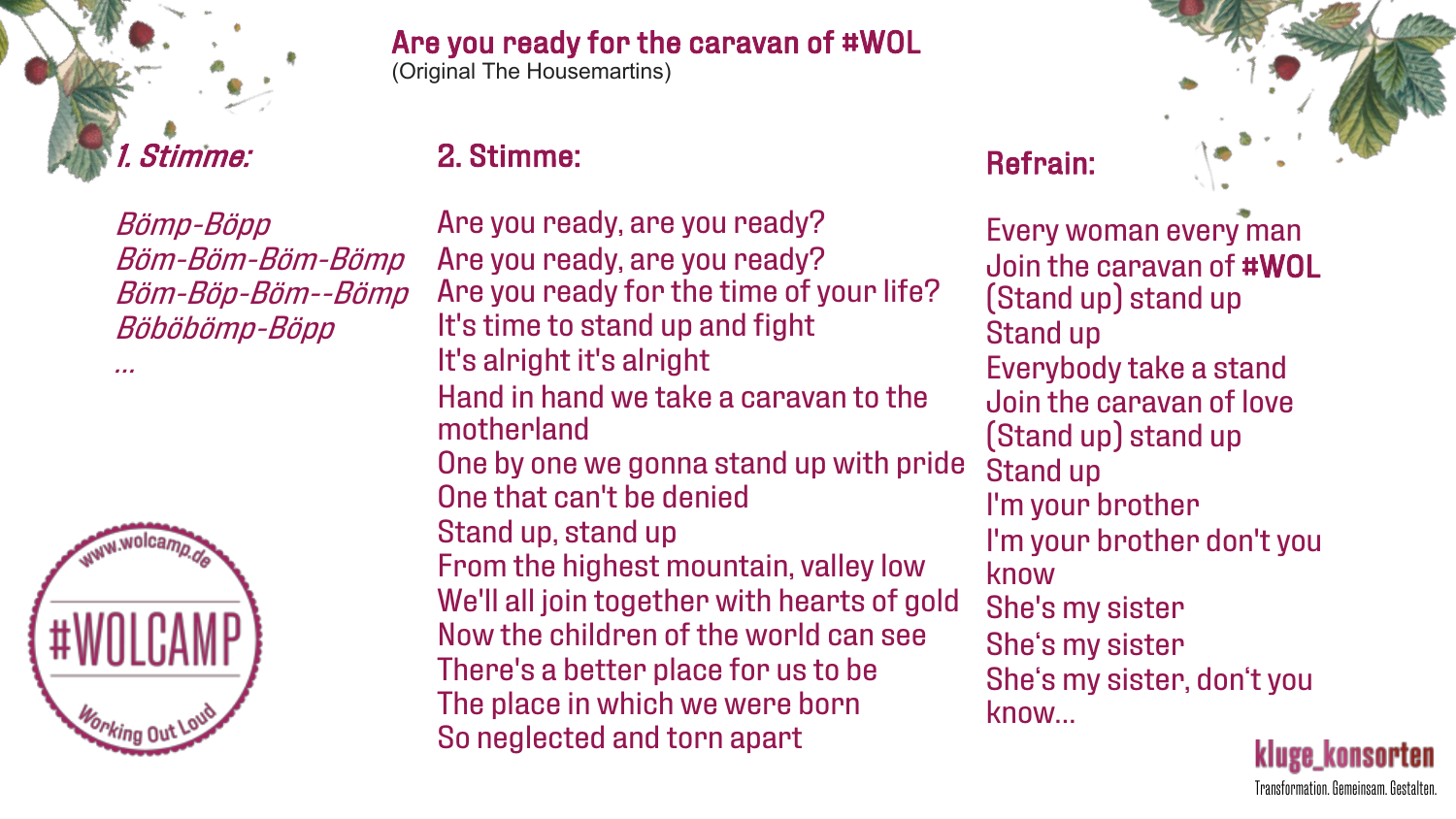

Are you ready for the caravan of #WOL

(Original The Housemartins)

## 2. Stimme:

Bömp-Böpp Böm-Böm-Böm-Bömp Böm-Böp-Böm--Bömp Böböbömp-Böpp



…

Are you ready, are you ready? Are you ready, are you ready? Are you ready for the time of your life? It's time to stand up and fight It's alright it's alright Hand in hand we take a caravan to the motherland One by one we gonna stand up with pride One that can't be denied Stand up, stand up From the highest mountain, valley low We'll all join together with hearts of gold Now the children of the world can see There's a better place for us to be The place in which we were born So neglected and torn apart



Refrain:

Every woman every man Join the caravan of #WOL (Stand up) stand up Stand up Everybody take a stand Join the caravan of love (Stand up) stand up Stand up I'm your brother I'm your brother don't you know She's my sister She's my sister She's my sister, don't you know…